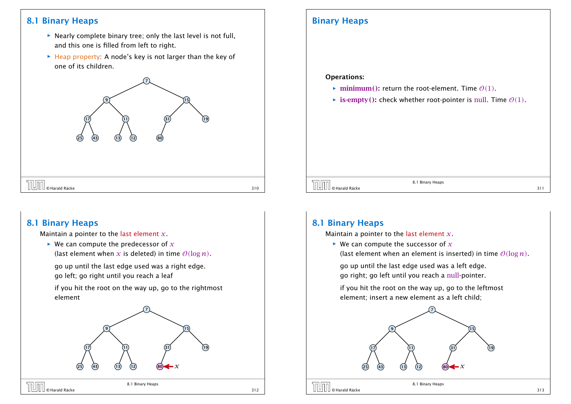### 8.1 Binary Heaps

- **Follo Nearly complete binary tree; only the last level is not full,** and this one is filled from left to right.
- **▶ Heap property:** A node's key is not larger than the key of one of its children.



### Binary Heaps

#### Operations:

- $\triangleright$  minimum(): return the root-element. Time  $\mathcal{O}(1)$ .
- $\triangleright$  **is-empty():** check whether root-pointer is null. Time  $\mathcal{O}(1)$ .

# $\boxed{\prod}_{\text{O}}$  Harald Räcke 311 (and the set of the set of the set of the set of the set of the set of the set of the set of the set of the set of the set of the set of the set of the set of the set of the set of the set of

8.1 Binary Heaps

## 8.1 Binary Heaps

Maintain a pointer to the last element *x*.

 $\triangleright$  We can compute the predecessor of  $\chi$ (last element when x is deleted) in time  $O(\log n)$ .

go up until the last edge used was a right edge. go left; go right until you reach a leaf

if you hit the root on the way up, go to the rightmost element



### 8.1 Binary Heaps

Maintain a pointer to the last element *x*.

- $\blacktriangleright$  We can compute the successor of  $x$ 
	- (last element when an element is inserted) in time  $O(\log n)$ .

go up until the last edge used was a left edge. go right; go left until you reach a null-pointer.

if you hit the root on the way up, go to the leftmost element; insert a new element as a left child;

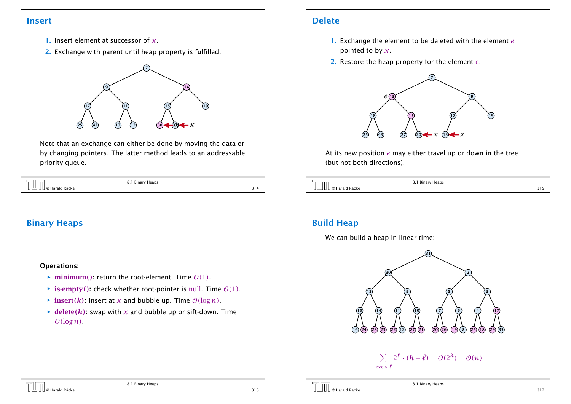### Insert

- 1. Insert element at successor of *x*.
- 2. Exchange with parent until heap property is fulfilled.



Note that an exchange can either be done by moving the data or by changing pointers. The latter method leads to an addressable priority queue.

| <b>THE CHATAIRE</b> | 8.1 Binary Heaps |  |
|---------------------|------------------|--|
|                     |                  |  |

# Binary Heaps Operations:  $\triangleright$  minimum(): return the root-element. Time  $\mathcal{O}(1)$ .

- $\triangleright$  **is-empty**(): check whether root-pointer is null. Time  $\mathcal{O}(1)$ .
- $\triangleright$  insert*(k)*: insert at *x* and bubble up. Time  $O(\log n)$ .
- $\rightarrow$  delete(*h*): swap with *x* and bubble up or sift-down. Time  $O(log n)$ .

### Delete

- 1. Exchange the element to be deleted with the element *e* pointed to by *x*.
- 2. Restore the heap-property for the element *e*.



At its new position *e* may either travel up or down in the tree (but not both directions).

| <b>TUTT</b> © Harald Räcke | 8.1 Binary Heaps |  |
|----------------------------|------------------|--|
|                            |                  |  |



# Build Heap

We can build a heap in linear time: